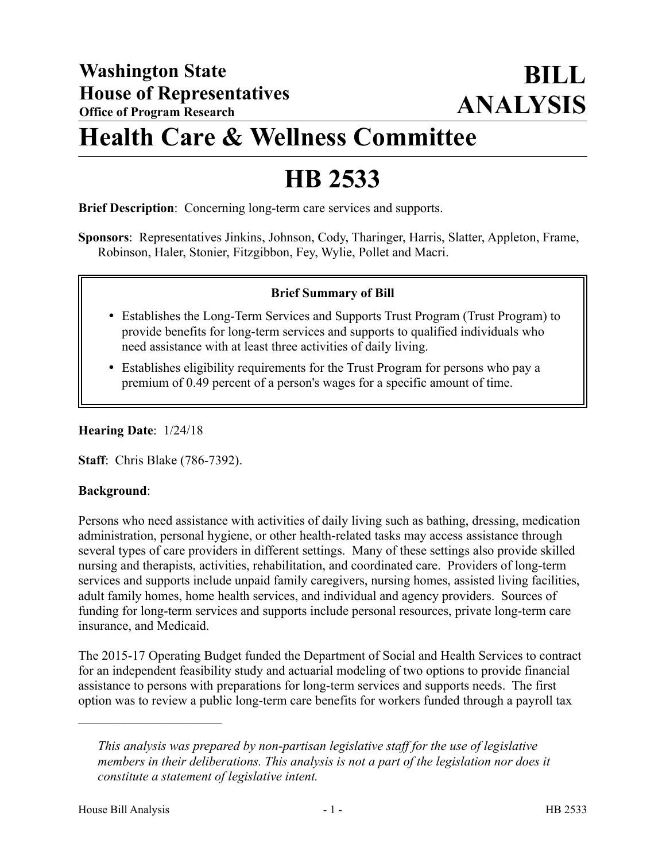## **Health Care & Wellness Committee**

# **HB 2533**

**Brief Description**: Concerning long-term care services and supports.

**Sponsors**: Representatives Jinkins, Johnson, Cody, Tharinger, Harris, Slatter, Appleton, Frame, Robinson, Haler, Stonier, Fitzgibbon, Fey, Wylie, Pollet and Macri.

### **Brief Summary of Bill**

- Establishes the Long-Term Services and Supports Trust Program (Trust Program) to provide benefits for long-term services and supports to qualified individuals who need assistance with at least three activities of daily living.
- Establishes eligibility requirements for the Trust Program for persons who pay a premium of 0.49 percent of a person's wages for a specific amount of time.

#### **Hearing Date**: 1/24/18

**Staff**: Chris Blake (786-7392).

### **Background**:

Persons who need assistance with activities of daily living such as bathing, dressing, medication administration, personal hygiene, or other health-related tasks may access assistance through several types of care providers in different settings. Many of these settings also provide skilled nursing and therapists, activities, rehabilitation, and coordinated care. Providers of long-term services and supports include unpaid family caregivers, nursing homes, assisted living facilities, adult family homes, home health services, and individual and agency providers. Sources of funding for long-term services and supports include personal resources, private long-term care insurance, and Medicaid.

The 2015-17 Operating Budget funded the Department of Social and Health Services to contract for an independent feasibility study and actuarial modeling of two options to provide financial assistance to persons with preparations for long-term services and supports needs. The first option was to review a public long-term care benefits for workers funded through a payroll tax

––––––––––––––––––––––

*This analysis was prepared by non-partisan legislative staff for the use of legislative members in their deliberations. This analysis is not a part of the legislation nor does it constitute a statement of legislative intent.*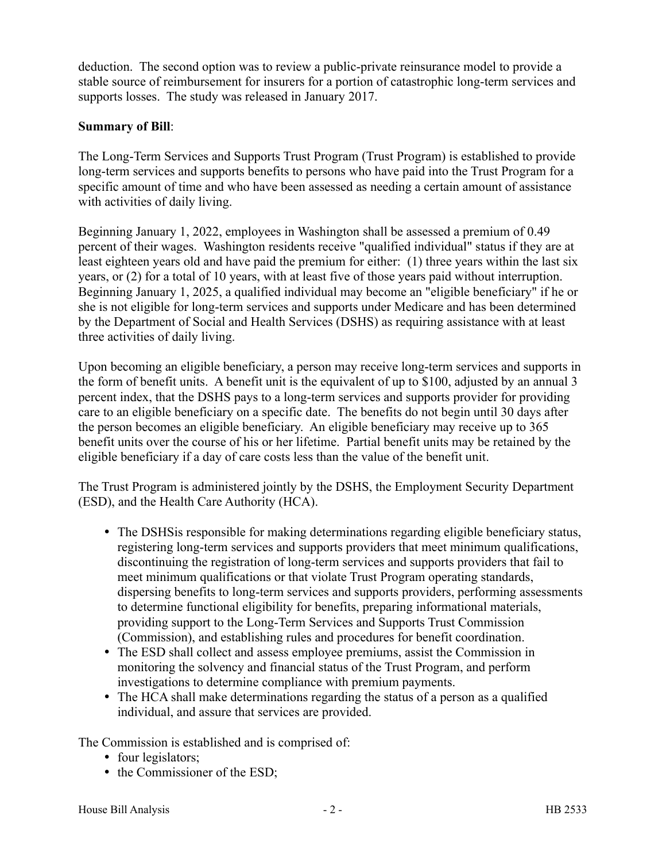deduction. The second option was to review a public-private reinsurance model to provide a stable source of reimbursement for insurers for a portion of catastrophic long-term services and supports losses. The study was released in January 2017.

#### **Summary of Bill**:

The Long-Term Services and Supports Trust Program (Trust Program) is established to provide long-term services and supports benefits to persons who have paid into the Trust Program for a specific amount of time and who have been assessed as needing a certain amount of assistance with activities of daily living.

Beginning January 1, 2022, employees in Washington shall be assessed a premium of 0.49 percent of their wages. Washington residents receive "qualified individual" status if they are at least eighteen years old and have paid the premium for either: (1) three years within the last six years, or (2) for a total of 10 years, with at least five of those years paid without interruption. Beginning January 1, 2025, a qualified individual may become an "eligible beneficiary" if he or she is not eligible for long-term services and supports under Medicare and has been determined by the Department of Social and Health Services (DSHS) as requiring assistance with at least three activities of daily living.

Upon becoming an eligible beneficiary, a person may receive long-term services and supports in the form of benefit units. A benefit unit is the equivalent of up to \$100, adjusted by an annual 3 percent index, that the DSHS pays to a long-term services and supports provider for providing care to an eligible beneficiary on a specific date. The benefits do not begin until 30 days after the person becomes an eligible beneficiary. An eligible beneficiary may receive up to 365 benefit units over the course of his or her lifetime. Partial benefit units may be retained by the eligible beneficiary if a day of care costs less than the value of the benefit unit.

The Trust Program is administered jointly by the DSHS, the Employment Security Department (ESD), and the Health Care Authority (HCA).

- The DSHSis responsible for making determinations regarding eligible beneficiary status, registering long-term services and supports providers that meet minimum qualifications, discontinuing the registration of long-term services and supports providers that fail to meet minimum qualifications or that violate Trust Program operating standards, dispersing benefits to long-term services and supports providers, performing assessments to determine functional eligibility for benefits, preparing informational materials, providing support to the Long-Term Services and Supports Trust Commission (Commission), and establishing rules and procedures for benefit coordination.
- The ESD shall collect and assess employee premiums, assist the Commission in monitoring the solvency and financial status of the Trust Program, and perform investigations to determine compliance with premium payments.
- The HCA shall make determinations regarding the status of a person as a qualified individual, and assure that services are provided.

The Commission is established and is comprised of:

- four legislators;
- the Commissioner of the ESD;